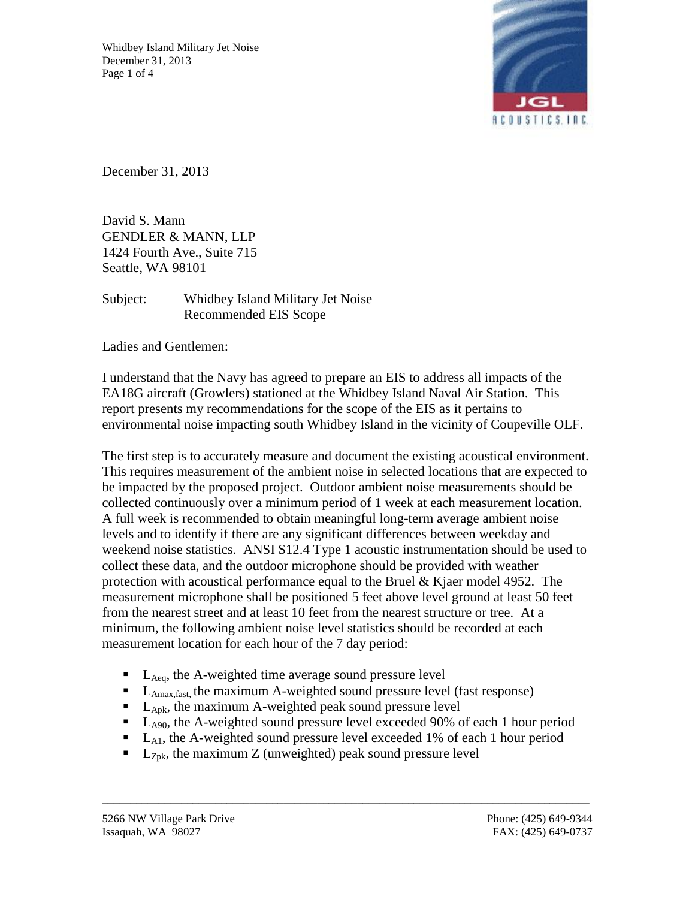Whidbey Island Military Jet Noise December 31, 2013 Page 1 of 4



December 31, 2013

David S. Mann GENDLER & MANN, LLP 1424 Fourth Ave., Suite 715 Seattle, WA 98101

Subject: Whidbey Island Military Jet Noise Recommended EIS Scope

Ladies and Gentlemen:

I understand that the Navy has agreed to prepare an EIS to address all impacts of the EA18G aircraft (Growlers) stationed at the Whidbey Island Naval Air Station. This report presents my recommendations for the scope of the EIS as it pertains to environmental noise impacting south Whidbey Island in the vicinity of Coupeville OLF.

The first step is to accurately measure and document the existing acoustical environment. This requires measurement of the ambient noise in selected locations that are expected to be impacted by the proposed project. Outdoor ambient noise measurements should be collected continuously over a minimum period of 1 week at each measurement location. A full week is recommended to obtain meaningful long-term average ambient noise levels and to identify if there are any significant differences between weekday and weekend noise statistics. ANSI S12.4 Type 1 acoustic instrumentation should be used to collect these data, and the outdoor microphone should be provided with weather protection with acoustical performance equal to the Bruel & Kjaer model 4952. The measurement microphone shall be positioned 5 feet above level ground at least 50 feet from the nearest street and at least 10 feet from the nearest structure or tree. At a minimum, the following ambient noise level statistics should be recorded at each measurement location for each hour of the 7 day period:

- $L_{\text{Aea}}$ , the A-weighted time average sound pressure level
- $\blacksquare$  L<sub>Amax,fast</sub>, the maximum A-weighted sound pressure level (fast response)
- $\blacksquare$  L<sub>Apk</sub>, the maximum A-weighted peak sound pressure level
- $\blacksquare$  L<sub>A90</sub>, the A-weighted sound pressure level exceeded 90% of each 1 hour period
- $\blacksquare$  L<sub>A1</sub>, the A-weighted sound pressure level exceeded 1% of each 1 hour period

\_\_\_\_\_\_\_\_\_\_\_\_\_\_\_\_\_\_\_\_\_\_\_\_\_\_\_\_\_\_\_\_\_\_\_\_\_\_\_\_\_\_\_\_\_\_\_\_\_\_\_\_\_\_\_\_\_\_\_\_\_\_\_\_\_\_\_\_\_\_\_\_\_\_\_\_\_\_\_\_\_\_\_\_\_\_

 $\blacksquare$  L<sub>Zpk</sub>, the maximum Z (unweighted) peak sound pressure level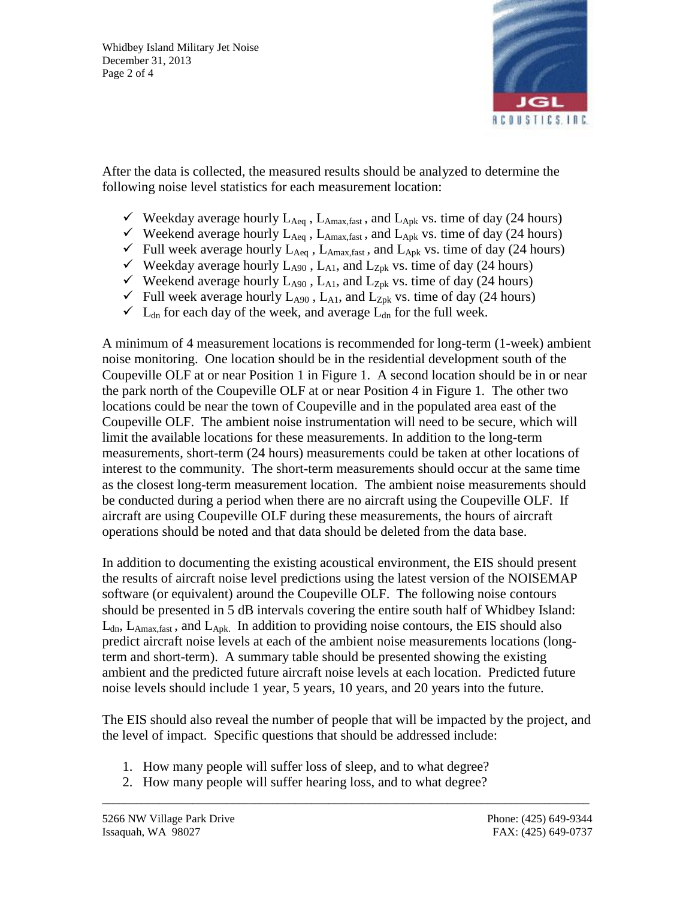

After the data is collected, the measured results should be analyzed to determine the following noise level statistics for each measurement location:

- $\checkmark$  Weekday average hourly  $L_{Aeq}$ ,  $L_{Amax,fast}$ , and  $L_{Apk}$  vs. time of day (24 hours)
- $\checkmark$  Weekend average hourly  $L_{Aeq}$ ,  $L_{Amax,fast}$ , and  $L_{Apk}$  vs. time of day (24 hours)
- $\checkmark$  Full week average hourly  $L_{Aeq}$ ,  $L_{Amax,fast}$ , and  $L_{Apk}$  vs. time of day (24 hours)
- $\checkmark$  Weekday average hourly L<sub>A90</sub>, L<sub>A1</sub>, and L<sub>Zpk</sub> vs. time of day (24 hours)
- $\checkmark$  Weekend average hourly  $L_{A90}$ ,  $L_{A1}$ , and  $L_{Zpk}$  vs. time of day (24 hours)
- $\checkmark$  Full week average hourly  $L_{A90}$ ,  $L_{A1}$ , and  $L_{Zpk}$  vs. time of day (24 hours)
- $\checkmark$  L<sub>dn</sub> for each day of the week, and average L<sub>dn</sub> for the full week.

A minimum of 4 measurement locations is recommended for long-term (1-week) ambient noise monitoring. One location should be in the residential development south of the Coupeville OLF at or near Position 1 in Figure 1. A second location should be in or near the park north of the Coupeville OLF at or near Position 4 in Figure 1. The other two locations could be near the town of Coupeville and in the populated area east of the Coupeville OLF. The ambient noise instrumentation will need to be secure, which will limit the available locations for these measurements. In addition to the long-term measurements, short-term (24 hours) measurements could be taken at other locations of interest to the community. The short-term measurements should occur at the same time as the closest long-term measurement location. The ambient noise measurements should be conducted during a period when there are no aircraft using the Coupeville OLF. If aircraft are using Coupeville OLF during these measurements, the hours of aircraft operations should be noted and that data should be deleted from the data base.

In addition to documenting the existing acoustical environment, the EIS should present the results of aircraft noise level predictions using the latest version of the NOISEMAP software (or equivalent) around the Coupeville OLF. The following noise contours should be presented in 5 dB intervals covering the entire south half of Whidbey Island:  $L_{dn}$ ,  $L_{Amax,fast}$ , and  $L_{Abk}$ . In addition to providing noise contours, the EIS should also predict aircraft noise levels at each of the ambient noise measurements locations (longterm and short-term). A summary table should be presented showing the existing ambient and the predicted future aircraft noise levels at each location. Predicted future noise levels should include 1 year, 5 years, 10 years, and 20 years into the future.

The EIS should also reveal the number of people that will be impacted by the project, and the level of impact. Specific questions that should be addressed include:

\_\_\_\_\_\_\_\_\_\_\_\_\_\_\_\_\_\_\_\_\_\_\_\_\_\_\_\_\_\_\_\_\_\_\_\_\_\_\_\_\_\_\_\_\_\_\_\_\_\_\_\_\_\_\_\_\_\_\_\_\_\_\_\_\_\_\_\_\_\_\_\_\_\_\_\_\_\_\_\_\_\_\_\_\_\_

- 1. How many people will suffer loss of sleep, and to what degree?
- 2. How many people will suffer hearing loss, and to what degree?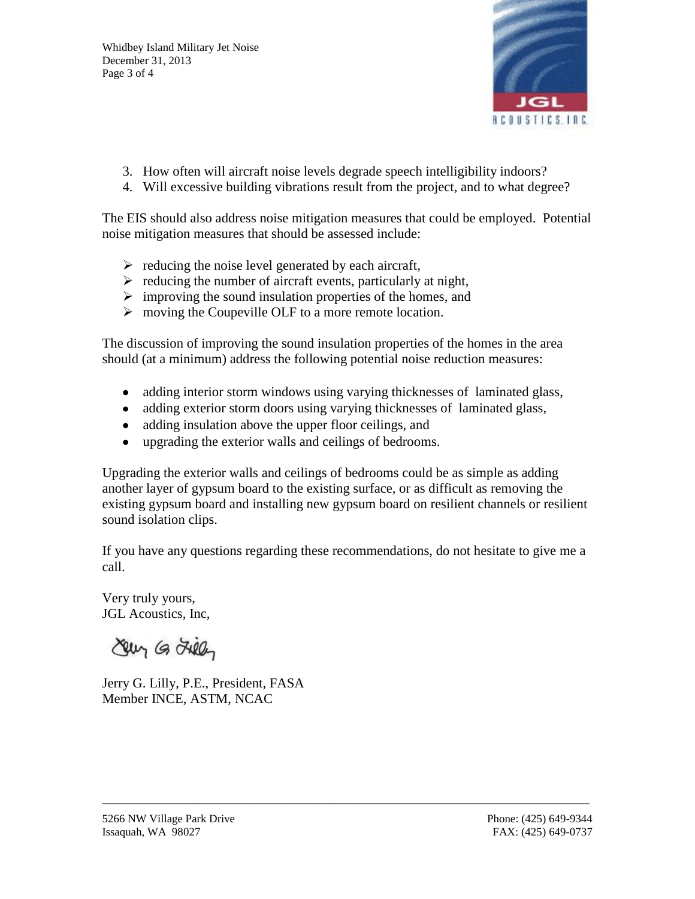Whidbey Island Military Jet Noise December 31, 2013 Page 3 of 4



- 3. How often will aircraft noise levels degrade speech intelligibility indoors?
- 4. Will excessive building vibrations result from the project, and to what degree?

The EIS should also address noise mitigation measures that could be employed. Potential noise mitigation measures that should be assessed include:

- $\triangleright$  reducing the noise level generated by each aircraft,
- $\triangleright$  reducing the number of aircraft events, particularly at night,
- $\triangleright$  improving the sound insulation properties of the homes, and
- moving the Coupeville OLF to a more remote location.

The discussion of improving the sound insulation properties of the homes in the area should (at a minimum) address the following potential noise reduction measures:

- adding interior storm windows using varying thicknesses of laminated glass,
- adding exterior storm doors using varying thicknesses of laminated glass,
- adding insulation above the upper floor ceilings, and
- upgrading the exterior walls and ceilings of bedrooms.

Upgrading the exterior walls and ceilings of bedrooms could be as simple as adding another layer of gypsum board to the existing surface, or as difficult as removing the existing gypsum board and installing new gypsum board on resilient channels or resilient sound isolation clips.

If you have any questions regarding these recommendations, do not hesitate to give me a call.

\_\_\_\_\_\_\_\_\_\_\_\_\_\_\_\_\_\_\_\_\_\_\_\_\_\_\_\_\_\_\_\_\_\_\_\_\_\_\_\_\_\_\_\_\_\_\_\_\_\_\_\_\_\_\_\_\_\_\_\_\_\_\_\_\_\_\_\_\_\_\_\_\_\_\_\_\_\_\_\_\_\_\_\_\_\_

Very truly yours, JGL Acoustics, Inc,

Lewy G Lieby

Jerry G. Lilly, P.E., President, FASA Member INCE, ASTM, NCAC